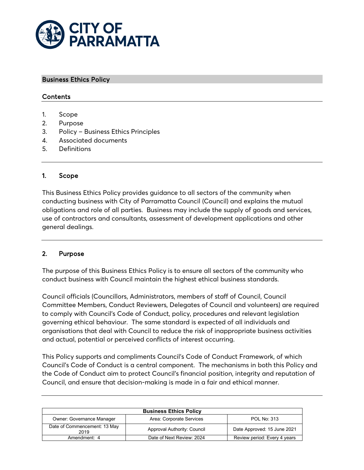

#### Business Ethics Policy

#### Contents

- 1. Scope
- 2. Purpose
- 3. Policy Business Ethics Principles
- 4. Associated documents
- 5. Definitions

#### 1. Scope

This Business Ethics Policy provides guidance to all sectors of the community when conducting business with City of Parramatta Council (Council) and explains the mutual obligations and role of all parties. Business may include the supply of goods and services, use of contractors and consultants, assessment of development applications and other general dealings.

#### 2. Purpose

The purpose of this Business Ethics Policy is to ensure all sectors of the community who conduct business with Council maintain the highest ethical business standards.

Council officials (Councillors, Administrators, members of staff of Council, Council Committee Members, Conduct Reviewers, Delegates of Council and volunteers) are required to comply with Council's Code of Conduct, policy, procedures and relevant legislation governing ethical behaviour. The same standard is expected of all individuals and organisations that deal with Council to reduce the risk of inappropriate business activities and actual, potential or perceived conflicts of interest occurring.

This Policy supports and compliments Council's Code of Conduct Framework, of which Council's Code of Conduct is a central component. The mechanisms in both this Policy and the Code of Conduct aim to protect Council's financial position, integrity and reputation of Council, and ensure that decision-making is made in a fair and ethical manner.

| <b>Business Ethics Policy</b>        |                             |                              |
|--------------------------------------|-----------------------------|------------------------------|
| <b>Owner: Governance Manager</b>     | Area: Corporate Services    | POL No: 313                  |
| Date of Commencement: 13 May<br>2019 | Approval Authority: Council | Date Approved: 15 June 2021  |
| Amendment: 4                         | Date of Next Review: 2024   | Review period: Every 4 years |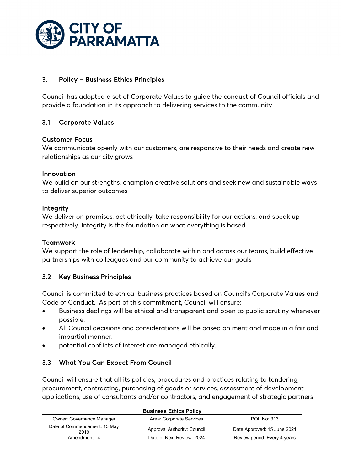

## 3. Policy – Business Ethics Principles

Council has adopted a set of Corporate Values to guide the conduct of Council officials and provide a foundation in its approach to delivering services to the community.

# 3.1 Corporate Values

#### Customer Focus

We communicate openly with our customers, are responsive to their needs and create new relationships as our city grows

#### Innovation

We build on our strengths, champion creative solutions and seek new and sustainable ways to deliver superior outcomes

#### Integrity

We deliver on promises, act ethically, take responsibility for our actions, and speak up respectively. Integrity is the foundation on what everything is based.

#### Teamwork

We support the role of leadership, collaborate within and across our teams, build effective partnerships with colleagues and our community to achieve our goals

### 3.2 Key Business Principles

Council is committed to ethical business practices based on Council's Corporate Values and Code of Conduct. As part of this commitment, Council will ensure:

- Business dealings will be ethical and transparent and open to public scrutiny whenever possible.
- All Council decisions and considerations will be based on merit and made in a fair and impartial manner.
- potential conflicts of interest are managed ethically.

### 3.3 What You Can Expect From Council

Council will ensure that all its policies, procedures and practices relating to tendering, procurement, contracting, purchasing of goods or services, assessment of development applications, use of consultants and/or contractors, and engagement of strategic partners

| <b>Business Ethics Policy</b>        |                             |                              |
|--------------------------------------|-----------------------------|------------------------------|
| Owner: Governance Manager            | Area: Corporate Services    | <b>POL No: 313</b>           |
| Date of Commencement: 13 May<br>2019 | Approval Authority: Council | Date Approved: 15 June 2021  |
| Amendment: 4                         | Date of Next Review: 2024   | Review period: Every 4 years |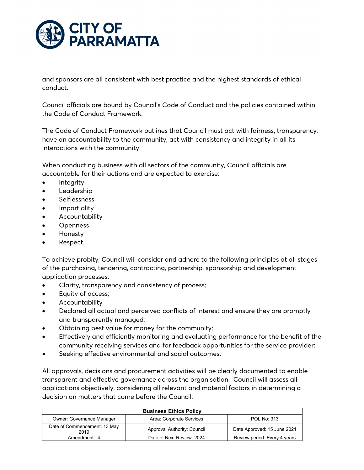

and sponsors are all consistent with best practice and the highest standards of ethical conduct.

Council officials are bound by Council's Code of Conduct and the policies contained within the Code of Conduct Framework.

The Code of Conduct Framework outlines that Council must act with fairness, transparency, have an accountability to the community, act with consistency and integrity in all its interactions with the community.

When conducting business with all sectors of the community, Council officials are accountable for their actions and are expected to exercise:

- **Integrity**
- Leadership
- **Selflessness**
- Impartiality
- **Accountability**
- **Openness**
- Honesty
- Respect.

To achieve probity, Council will consider and adhere to the following principles at all stages of the purchasing, tendering, contracting, partnership, sponsorship and development application processes:

- Clarity, transparency and consistency of process;
- Equity of access;
- Accountability
- Declared all actual and perceived conflicts of interest and ensure they are promptly and transparently managed;
- Obtaining best value for money for the community;
- Effectively and efficiently monitoring and evaluating performance for the benefit of the community receiving services and for feedback opportunities for the service provider;
- Seeking effective environmental and social outcomes.

All approvals, decisions and procurement activities will be clearly documented to enable transparent and effective governance across the organisation. Council will assess all applications objectively, considering all relevant and material factors in determining a decision on matters that come before the Council.

| <b>Business Ethics Policy</b>        |                             |                              |
|--------------------------------------|-----------------------------|------------------------------|
| Owner: Governance Manager            | Area: Corporate Services    | <b>POL No: 313</b>           |
| Date of Commencement: 13 May<br>2019 | Approval Authority: Council | Date Approved: 15 June 2021  |
| Amendment: 4                         | Date of Next Review: 2024   | Review period: Every 4 years |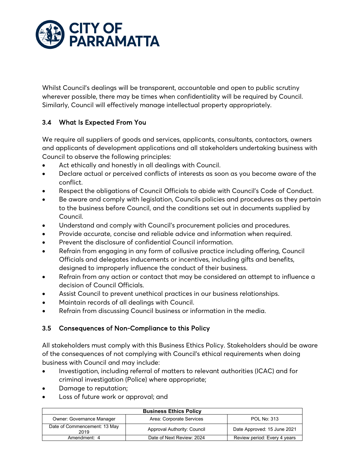

Whilst Council's dealings will be transparent, accountable and open to public scrutiny wherever possible, there may be times when confidentiality will be required by Council. Similarly, Council will effectively manage intellectual property appropriately.

# 3.4 What Is Expected From You

We require all suppliers of goods and services, applicants, consultants, contactors, owners and applicants of development applications and all stakeholders undertaking business with Council to observe the following principles:

- Act ethically and honestly in all dealings with Council.
- Declare actual or perceived conflicts of interests as soon as you become aware of the conflict.
- Respect the obligations of Council Officials to abide with Council's Code of Conduct.
- Be aware and comply with legislation, Councils policies and procedures as they pertain to the business before Council, and the conditions set out in documents supplied by Council.
- Understand and comply with Council's procurement policies and procedures.
- Provide accurate, concise and reliable advice and information when required.
- Prevent the disclosure of confidential Council information.
- Refrain from engaging in any form of collusive practice including offering, Council Officials and delegates inducements or incentives, including gifts and benefits, designed to improperly influence the conduct of their business.
- Refrain from any action or contact that may be considered an attempt to influence a decision of Council Officials.
- Assist Council to prevent unethical practices in our business relationships.
- Maintain records of all dealings with Council.
- Refrain from discussing Council business or information in the media.

### 3.5 Consequences of Non-Compliance to this Policy

All stakeholders must comply with this Business Ethics Policy. Stakeholders should be aware of the consequences of not complying with Council's ethical requirements when doing business with Council and may include:

- Investigation, including referral of matters to relevant authorities (ICAC) and for criminal investigation (Police) where appropriate;
- Damage to reputation;
- Loss of future work or approval; and

| <b>Business Ethics Policy</b>        |                             |                              |
|--------------------------------------|-----------------------------|------------------------------|
| Owner: Governance Manager            | Area: Corporate Services    | <b>POL No: 313</b>           |
| Date of Commencement: 13 May<br>2019 | Approval Authority: Council | Date Approved: 15 June 2021  |
| Amendment: 4                         | Date of Next Review: 2024   | Review period: Every 4 years |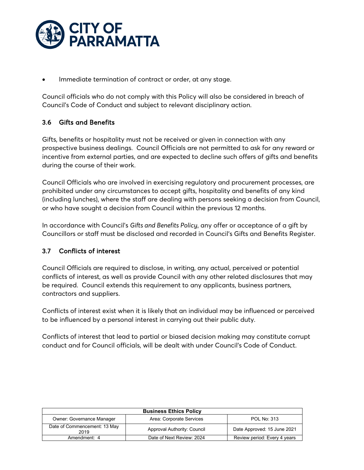

Immediate termination of contract or order, at any stage.

Council officials who do not comply with this Policy will also be considered in breach of Council's Code of Conduct and subject to relevant disciplinary action.

# 3.6 Gifts and Benefits

Gifts, benefits or hospitality must not be received or given in connection with any prospective business dealings. Council Officials are not permitted to ask for any reward or incentive from external parties, and are expected to decline such offers of gifts and benefits during the course of their work.

Council Officials who are involved in exercising regulatory and procurement processes, are prohibited under any circumstances to accept gifts, hospitality and benefits of any kind (including lunches), where the staff are dealing with persons seeking a decision from Council, or who have sought a decision from Council within the previous 12 months.

In accordance with Council's *Gifts and Benefits Policy*, any offer or acceptance of a gift by Councillors or staff must be disclosed and recorded in Council's Gifts and Benefits Register.

### 3.7 Conflicts of interest

Council Officials are required to disclose, in writing, any actual, perceived or potential conflicts of interest, as well as provide Council with any other related disclosures that may be required. Council extends this requirement to any applicants, business partners, contractors and suppliers.

Conflicts of interest exist when it is likely that an individual may be influenced or perceived to be influenced by a personal interest in carrying out their public duty.

Conflicts of interest that lead to partial or biased decision making may constitute corrupt conduct and for Council officials, will be dealt with under Council's Code of Conduct.

| <b>Business Ethics Policy</b>        |                             |                              |
|--------------------------------------|-----------------------------|------------------------------|
| Owner: Governance Manager            | Area: Corporate Services    | <b>POL No: 313</b>           |
| Date of Commencement: 13 May<br>2019 | Approval Authority: Council | Date Approved: 15 June 2021  |
| Amendment: 4                         | Date of Next Review: 2024   | Review period: Every 4 years |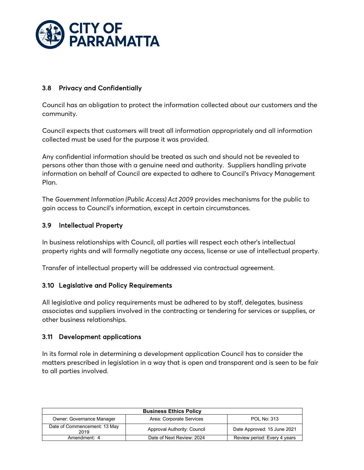

## 3.8 Privacy and Confidentially

Council has an obligation to protect the information collected about our customers and the community.

Council expects that customers will treat all information appropriately and all information collected must be used for the purpose it was provided.

Any confidential information should be treated as such and should not be revealed to persons other than those with a genuine need and authority. Suppliers handling private information on behalf of Council are expected to adhere to Council's Privacy Management Plan.

The *Government Information (Public Access) Act 2009* provides mechanisms for the public to gain access to Council's information, except in certain circumstances.

### 3.9 Intellectual Property

In business relationships with Council, all parties will respect each other's intellectual property rights and will formally negotiate any access, license or use of intellectual property.

Transfer of intellectual property will be addressed via contractual agreement.

### 3.10 Legislative and Policy Requirements

All legislative and policy requirements must be adhered to by staff, delegates, business associates and suppliers involved in the contracting or tendering for services or supplies, or other business relationships.

### 3.11 Development applications

In its formal role in determining a development application Council has to consider the matters prescribed in legislation in a way that is open and transparent and is seen to be fair to all parties involved.

| <b>Business Ethics Policy</b>        |                             |                              |
|--------------------------------------|-----------------------------|------------------------------|
| Owner: Governance Manager            | Area: Corporate Services    | <b>POL No: 313</b>           |
| Date of Commencement: 13 May<br>2019 | Approval Authority: Council | Date Approved: 15 June 2021  |
| Amendment: 4                         | Date of Next Review: 2024   | Review period: Every 4 years |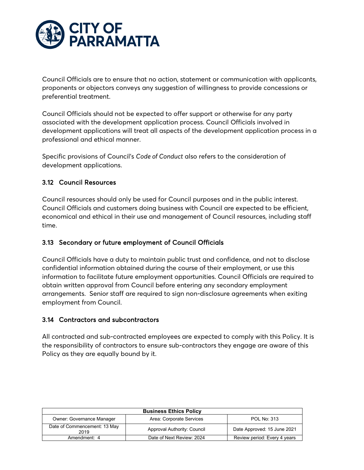

Council Officials are to ensure that no action, statement or communication with applicants, proponents or objectors conveys any suggestion of willingness to provide concessions or preferential treatment.

Council Officials should not be expected to offer support or otherwise for any party associated with the development application process. Council Officials involved in development applications will treat all aspects of the development application process in a professional and ethical manner.

Specific provisions of Council's *Code of Conduct* also refers to the consideration of development applications.

# 3.12 Council Resources

Council resources should only be used for Council purposes and in the public interest. Council Officials and customers doing business with Council are expected to be efficient, economical and ethical in their use and management of Council resources, including staff time.

### 3.13 Secondary or future employment of Council Officials

Council Officials have a duty to maintain public trust and confidence, and not to disclose confidential information obtained during the course of their employment, or use this information to facilitate future employment opportunities. Council Officials are required to obtain written approval from Council before entering any secondary employment arrangements. Senior staff are required to sign non-disclosure agreements when exiting employment from Council.

### 3.14 Contractors and subcontractors

All contracted and sub-contracted employees are expected to comply with this Policy. It is the responsibility of contractors to ensure sub-contractors they engage are aware of this Policy as they are equally bound by it.

| <b>Business Ethics Policy</b>        |                             |                              |
|--------------------------------------|-----------------------------|------------------------------|
| <b>Owner: Governance Manager</b>     | Area: Corporate Services    | <b>POL No: 313</b>           |
| Date of Commencement: 13 May<br>2019 | Approval Authority: Council | Date Approved: 15 June 2021  |
| Amendment: 4                         | Date of Next Review: 2024   | Review period: Every 4 years |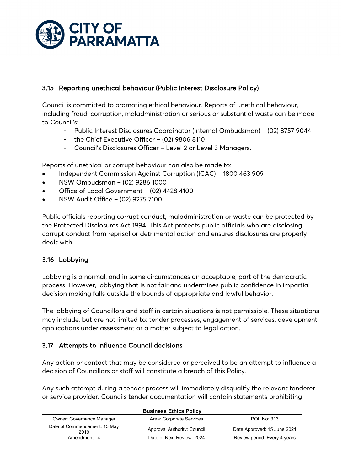

# 3.15 Reporting unethical behaviour (Public Interest Disclosure Policy)

Council is committed to promoting ethical behaviour. Reports of unethical behaviour, including fraud, corruption, maladministration or serious or substantial waste can be made to Council's:

- Public Interest Disclosures Coordinator (Internal Ombudsman) (02) 8757 9044
- the Chief Executive Officer (02) 9806 8110
- Council's Disclosures Officer Level 2 or Level 3 Managers.

Reports of unethical or corrupt behaviour can also be made to:

- Independent Commission Against Corruption (ICAC) 1800 463 909
- NSW Ombudsman (02) 9286 1000
- Office of Local Government (02) 4428 4100
- NSW Audit Office (02) 9275 7100

Public officials reporting corrupt conduct, maladministration or waste can be protected by the Protected Disclosures Act 1994. This Act protects public officials who are disclosing corrupt conduct from reprisal or detrimental action and ensures disclosures are properly dealt with.

### 3.16 Lobbying

Lobbying is a normal, and in some circumstances an acceptable, part of the democratic process. However, lobbying that is not fair and undermines public confidence in impartial decision making falls outside the bounds of appropriate and lawful behavior.

The lobbying of Councillors and staff in certain situations is not permissible. These situations may include, but are not limited to: tender processes, engagement of services, development applications under assessment or a matter subject to legal action.

### 3.17 Attempts to influence Council decisions

Any action or contact that may be considered or perceived to be an attempt to influence a decision of Councillors or staff will constitute a breach of this Policy.

Any such attempt during a tender process will immediately disqualify the relevant tenderer or service provider. Councils tender documentation will contain statements prohibiting

| <b>Business Ethics Policy</b>        |                             |                              |
|--------------------------------------|-----------------------------|------------------------------|
| Owner: Governance Manager            | Area: Corporate Services    | <b>POL No: 313</b>           |
| Date of Commencement: 13 May<br>2019 | Approval Authority: Council | Date Approved: 15 June 2021  |
| Amendment: 4                         | Date of Next Review: 2024   | Review period: Every 4 years |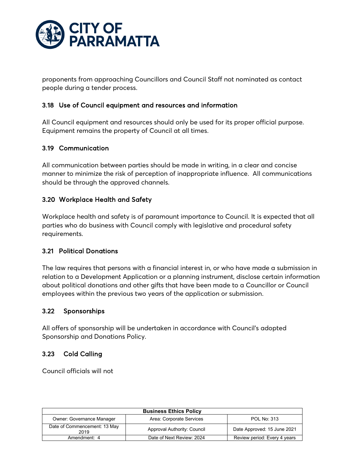

proponents from approaching Councillors and Council Staff not nominated as contact people during a tender process.

#### 3.18 Use of Council equipment and resources and information

All Council equipment and resources should only be used for its proper official purpose. Equipment remains the property of Council at all times.

#### 3.19 Communication

All communication between parties should be made in writing, in a clear and concise manner to minimize the risk of perception of inappropriate influence. All communications should be through the approved channels.

#### 3.20 Workplace Health and Safety

Workplace health and safety is of paramount importance to Council. It is expected that all parties who do business with Council comply with legislative and procedural safety requirements.

#### 3.21 Political Donations

The law requires that persons with a financial interest in, or who have made a submission in relation to a Development Application or a planning instrument, disclose certain information about political donations and other gifts that have been made to a Councillor or Council employees within the previous two years of the application or submission.

#### 3.22 Sponsorships

All offers of sponsorship will be undertaken in accordance with Council's adopted Sponsorship and Donations Policy.

### 3.23 Cold Calling

Council officials will not

| <b>Business Ethics Policy</b>        |                             |                              |
|--------------------------------------|-----------------------------|------------------------------|
| <b>Owner: Governance Manager</b>     | Area: Corporate Services    | <b>POL No: 313</b>           |
| Date of Commencement: 13 May<br>2019 | Approval Authority: Council | Date Approved: 15 June 2021  |
| Amendment: 4                         | Date of Next Review: 2024   | Review period: Every 4 years |